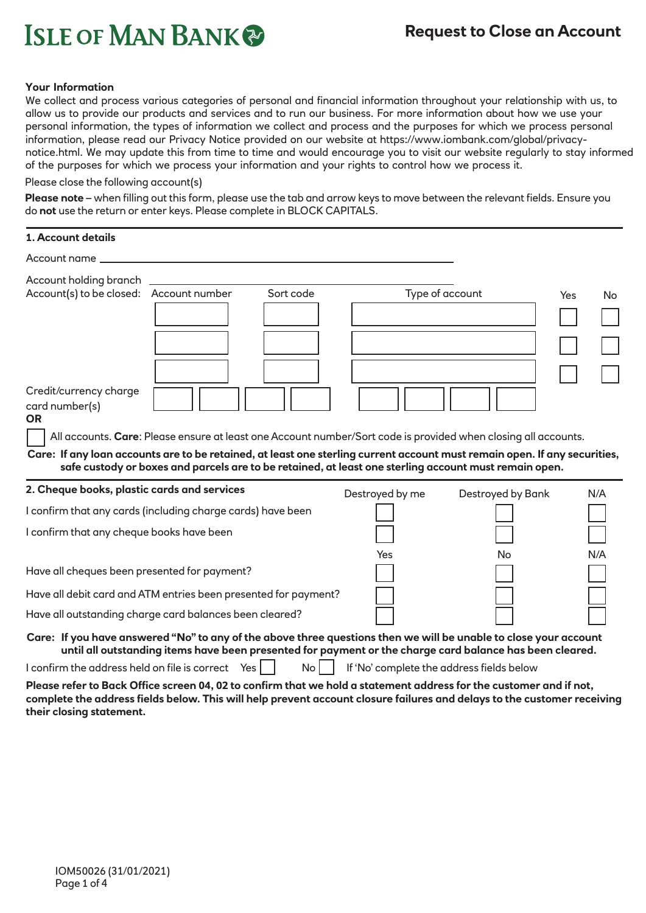# **ISLE OF MAN BANK**

# **Request to Close an Account**

#### **Your Information**

We collect and process various categories of personal and financial information throughout your relationship with us, to allow us to provide our products and services and to run our business. For more information about how we use your personal information, the types of information we collect and process and the purposes for which we process personal information, please read our Privacy Notice provided on our website at https://www.iombank.com/global/privacynotice.html. We may update this from time to time and would encourage you to visit our website regularly to stay informed of the purposes for which we process your information and your rights to control how we process it.

Please close the following account(s)

**Please note** – when filling out this form, please use the tab and arrow keys to move between the relevant fields. Ensure you do **not** use the return or enter keys. Please complete in BLOCK CAPITALS.

| 1. Account details                                                |  |                 |                                           |                                                                                                                                                                                                                                    |            |
|-------------------------------------------------------------------|--|-----------------|-------------------------------------------|------------------------------------------------------------------------------------------------------------------------------------------------------------------------------------------------------------------------------------|------------|
| Account name _                                                    |  |                 |                                           |                                                                                                                                                                                                                                    |            |
| Account holding branch<br>Account(s) to be closed: Account number |  | Sort code       |                                           | Type of account                                                                                                                                                                                                                    | Yes<br>No. |
|                                                                   |  |                 |                                           |                                                                                                                                                                                                                                    |            |
|                                                                   |  |                 |                                           |                                                                                                                                                                                                                                    |            |
| Credit/currency charge<br>card number(s)<br><b>OR</b>             |  |                 |                                           | All accounts. Care: Please ensure at least one Account number/Sort code is provided when closing all accounts.                                                                                                                     |            |
|                                                                   |  |                 |                                           | Care: If any loan accounts are to be retained, at least one sterling current account must remain open. If any securities,<br>safe custody or boxes and parcels are to be retained, at least one sterling account must remain open. |            |
| 2. Cheque books, plastic cards and services                       |  |                 | Destroyed by me                           | Destroyed by Bank                                                                                                                                                                                                                  | N/A        |
| I confirm that any cards (including charge cards) have been       |  |                 |                                           |                                                                                                                                                                                                                                    |            |
| I confirm that any cheque books have been                         |  |                 |                                           |                                                                                                                                                                                                                                    |            |
| Have all cheques been presented for payment?                      |  |                 | Yes                                       | No                                                                                                                                                                                                                                 | N/A        |
| Have all debit card and ATM entries been presented for payment?   |  |                 |                                           |                                                                                                                                                                                                                                    |            |
| Have all outstanding charge card balances been cleared?           |  |                 |                                           |                                                                                                                                                                                                                                    |            |
|                                                                   |  |                 |                                           | Care: If you have answered "No" to any of the above three questions then we will be unable to close your account<br>until all outstanding items have been presented for payment or the charge card balance has been cleared.       |            |
| I confirm the address held on file is correct Yes                 |  | No <sub>1</sub> | If 'No' complete the address fields below |                                                                                                                                                                                                                                    |            |

**Please refer to Back Office screen 04, 02 to confirm that we hold a statement address for the customer and if not, complete the address fields below. This will help prevent account closure failures and delays to the customer receiving their closing statement.**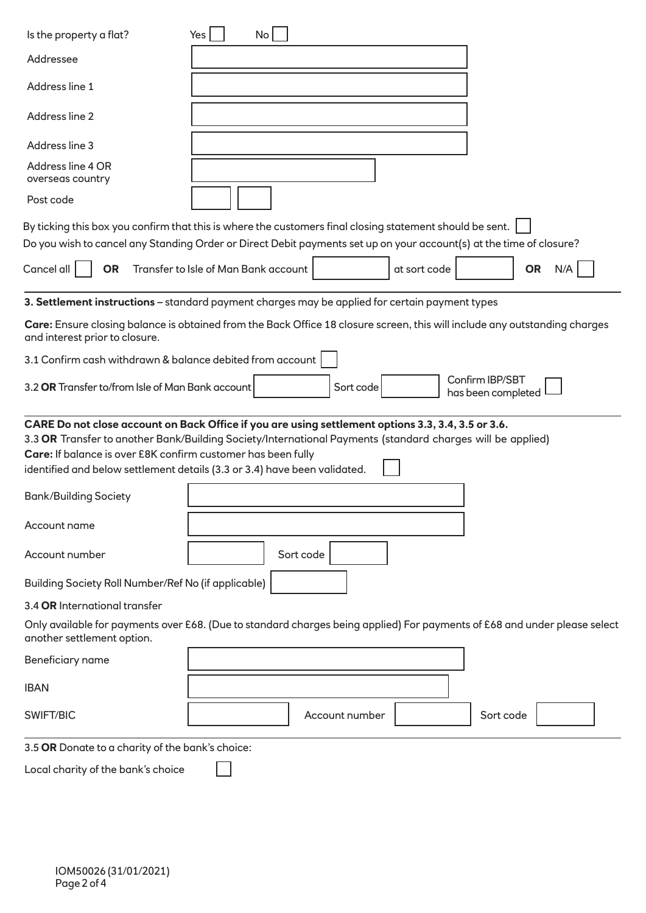| Is the property a flat?                                                                                | No<br>Yes                                                                                                                                                                                                                                                                                     |  |  |  |  |  |
|--------------------------------------------------------------------------------------------------------|-----------------------------------------------------------------------------------------------------------------------------------------------------------------------------------------------------------------------------------------------------------------------------------------------|--|--|--|--|--|
| Addressee                                                                                              |                                                                                                                                                                                                                                                                                               |  |  |  |  |  |
| Address line 1                                                                                         |                                                                                                                                                                                                                                                                                               |  |  |  |  |  |
| Address line 2                                                                                         |                                                                                                                                                                                                                                                                                               |  |  |  |  |  |
| Address line 3                                                                                         |                                                                                                                                                                                                                                                                                               |  |  |  |  |  |
| Address line 4 OR<br>overseas country                                                                  |                                                                                                                                                                                                                                                                                               |  |  |  |  |  |
| Post code                                                                                              |                                                                                                                                                                                                                                                                                               |  |  |  |  |  |
|                                                                                                        | By ticking this box you confirm that this is where the customers final closing statement should be sent.<br>Do you wish to cancel any Standing Order or Direct Debit payments set up on your account(s) at the time of closure?                                                               |  |  |  |  |  |
| Cancel all<br><b>OR</b>                                                                                | Transfer to Isle of Man Bank account<br><b>OR</b><br>at sort code<br>N/A                                                                                                                                                                                                                      |  |  |  |  |  |
|                                                                                                        | 3. Settlement instructions - standard payment charges may be applied for certain payment types                                                                                                                                                                                                |  |  |  |  |  |
| and interest prior to closure.                                                                         | Care: Ensure closing balance is obtained from the Back Office 18 closure screen, this will include any outstanding charges                                                                                                                                                                    |  |  |  |  |  |
| 3.1 Confirm cash withdrawn & balance debited from account                                              |                                                                                                                                                                                                                                                                                               |  |  |  |  |  |
| Confirm IBP/SBT<br>3.2 OR Transfer to/from Isle of Man Bank account<br>Sort code<br>has been completed |                                                                                                                                                                                                                                                                                               |  |  |  |  |  |
| Care: If balance is over £8K confirm customer has been fully                                           | CARE Do not close account on Back Office if you are using settlement options 3.3, 3.4, 3.5 or 3.6.<br>3.3 OR Transfer to another Bank/Building Society/International Payments (standard charges will be applied)<br>identified and below settlement details (3.3 or 3.4) have been validated. |  |  |  |  |  |
| <b>Bank/Building Society</b>                                                                           |                                                                                                                                                                                                                                                                                               |  |  |  |  |  |
| Account name                                                                                           |                                                                                                                                                                                                                                                                                               |  |  |  |  |  |
| Account number                                                                                         | Sort code                                                                                                                                                                                                                                                                                     |  |  |  |  |  |
|                                                                                                        | Building Society Roll Number/Ref No (if applicable)                                                                                                                                                                                                                                           |  |  |  |  |  |
| 3.4 OR International transfer                                                                          |                                                                                                                                                                                                                                                                                               |  |  |  |  |  |
| another settlement option.                                                                             | Only available for payments over £68. (Due to standard charges being applied) For payments of £68 and under please select                                                                                                                                                                     |  |  |  |  |  |
| Beneficiary name                                                                                       |                                                                                                                                                                                                                                                                                               |  |  |  |  |  |
| <b>IBAN</b>                                                                                            |                                                                                                                                                                                                                                                                                               |  |  |  |  |  |
| SWIFT/BIC                                                                                              | Account number<br>Sort code                                                                                                                                                                                                                                                                   |  |  |  |  |  |
| 3.5 OR Donate to a charity of the bank's choice:                                                       |                                                                                                                                                                                                                                                                                               |  |  |  |  |  |
| Local charity of the bank's choice                                                                     |                                                                                                                                                                                                                                                                                               |  |  |  |  |  |
|                                                                                                        |                                                                                                                                                                                                                                                                                               |  |  |  |  |  |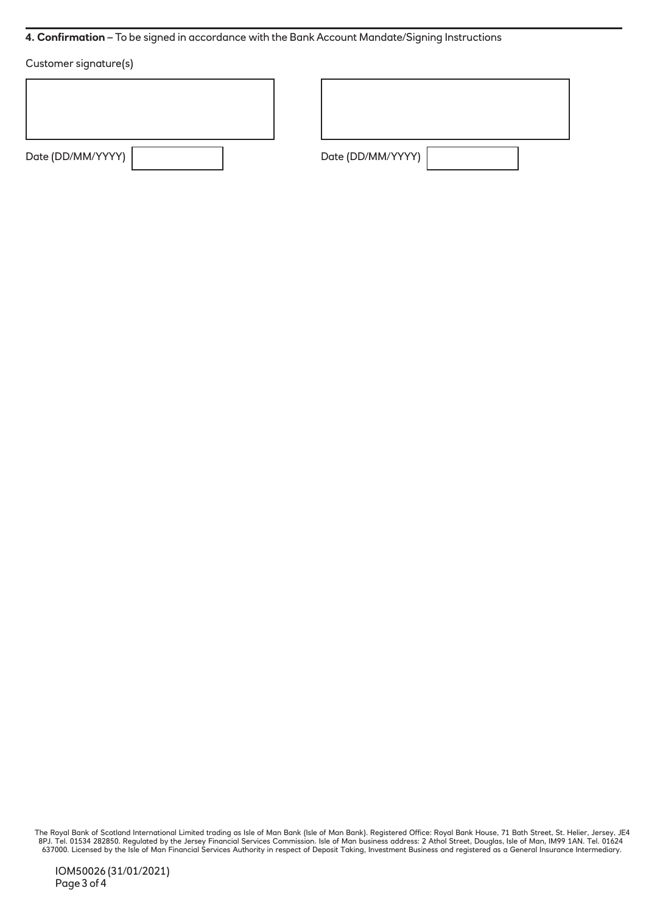## **4. Confirmation** – To be signed in accordance with the Bank Account Mandate/Signing Instructions

## Customer signature(s)

| Date (DD/MM/YYYY) |  |
|-------------------|--|
|                   |  |

Date (DD/MM/YYYY)

The Royal Bank of Scotland International Limited trading as Isle of Man Bank (Isle of Man Bank). Registered Office: Royal Bank House, 71 Bath Street, St. Helier, Jersey, JE4<br>8PJ. Tel. 01534 282850. Regulated by the Jersey